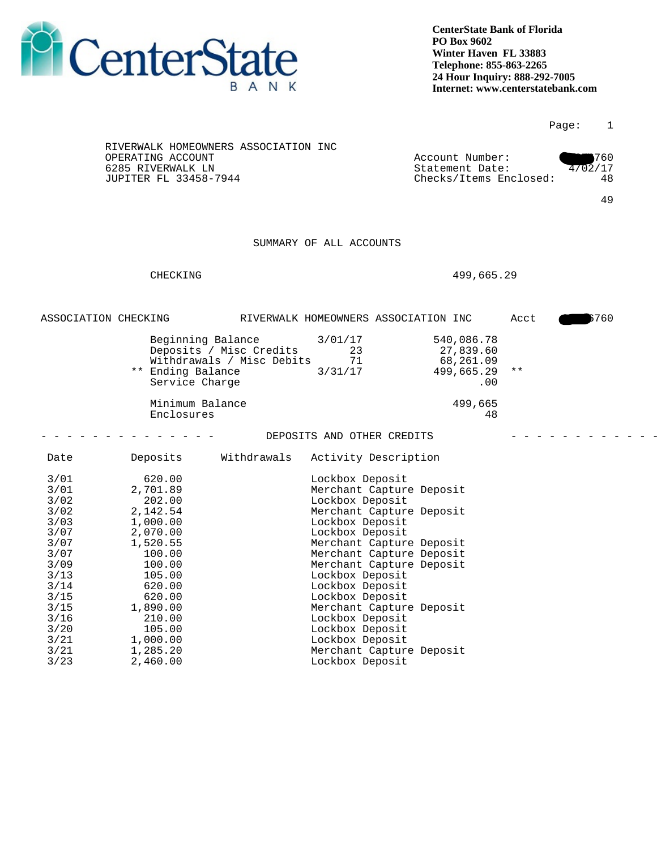

|                                                                                                                                                  |                                                                                                                                                                                                    |                                                      |                                                                                                                                                                                                                                                                                                                                                                                                                   |                                                              |               | Page:   | $\mathbf{1}$ |
|--------------------------------------------------------------------------------------------------------------------------------------------------|----------------------------------------------------------------------------------------------------------------------------------------------------------------------------------------------------|------------------------------------------------------|-------------------------------------------------------------------------------------------------------------------------------------------------------------------------------------------------------------------------------------------------------------------------------------------------------------------------------------------------------------------------------------------------------------------|--------------------------------------------------------------|---------------|---------|--------------|
|                                                                                                                                                  | OPERATING ACCOUNT<br>6285 RIVERWALK LN<br>JUPITER FL 33458-7944                                                                                                                                    | RIVERWALK HOMEOWNERS ASSOCIATION INC                 |                                                                                                                                                                                                                                                                                                                                                                                                                   | Account Number:<br>Statement Date:<br>Checks/Items Enclosed: |               | 4702/17 | 760<br>48    |
|                                                                                                                                                  |                                                                                                                                                                                                    |                                                      |                                                                                                                                                                                                                                                                                                                                                                                                                   |                                                              |               |         | 49           |
|                                                                                                                                                  |                                                                                                                                                                                                    |                                                      | SUMMARY OF ALL ACCOUNTS                                                                                                                                                                                                                                                                                                                                                                                           |                                                              |               |         |              |
|                                                                                                                                                  |                                                                                                                                                                                                    |                                                      |                                                                                                                                                                                                                                                                                                                                                                                                                   |                                                              |               |         |              |
|                                                                                                                                                  | CHECKING                                                                                                                                                                                           |                                                      |                                                                                                                                                                                                                                                                                                                                                                                                                   | 499,665.29                                                   |               |         |              |
| ASSOCIATION CHECKING                                                                                                                             |                                                                                                                                                                                                    |                                                      | RIVERWALK HOMEOWNERS ASSOCIATION INC                                                                                                                                                                                                                                                                                                                                                                              |                                                              | Acct          |         | 760          |
|                                                                                                                                                  | Beginning Balance<br>** Ending Balance<br>Service Charge                                                                                                                                           | Deposits / Misc Credits<br>Withdrawals / Misc Debits | 3/01/17<br>23<br>71<br>3/31/17                                                                                                                                                                                                                                                                                                                                                                                    | 540,086.78<br>27,839.60<br>68,261.09<br>499,665.29<br>.00    | $\star \star$ |         |              |
|                                                                                                                                                  | Minimum Balance<br>Enclosures                                                                                                                                                                      |                                                      |                                                                                                                                                                                                                                                                                                                                                                                                                   | 499,665<br>48                                                |               |         |              |
|                                                                                                                                                  |                                                                                                                                                                                                    |                                                      | DEPOSITS AND OTHER CREDITS                                                                                                                                                                                                                                                                                                                                                                                        |                                                              |               |         |              |
| Date                                                                                                                                             | Deposits                                                                                                                                                                                           | Withdrawals                                          | Activity Description                                                                                                                                                                                                                                                                                                                                                                                              |                                                              |               |         |              |
| 3/01<br>3/01<br>3/02<br>3/02<br>3/03<br>3/07<br>3/07<br>3/07<br>3/09<br>$3/13$<br>3/14<br>3/15<br>$3/15$<br>3/16<br>3/20<br>3/21<br>3/21<br>3/23 | 620.00<br>2,701.89<br>202.00<br>2,142.54<br>1,000.00<br>2,070.00<br>1,520.55<br>100.00<br>100.00<br>105.00<br>620.00<br>620.00<br>1,890.00<br>210.00<br>105.00<br>1,000.00<br>1,285.20<br>2,460.00 |                                                      | Lockbox Deposit<br>Merchant Capture Deposit<br>Lockbox Deposit<br>Merchant Capture Deposit<br>Lockbox Deposit<br>Lockbox Deposit<br>Merchant Capture Deposit<br>Merchant Capture Deposit<br>Merchant Capture Deposit<br>Lockbox Deposit<br>Lockbox Deposit<br>Lockbox Deposit<br>Merchant Capture Deposit<br>Lockbox Deposit<br>Lockbox Deposit<br>Lockbox Deposit<br>Merchant Capture Deposit<br>Lockbox Deposit |                                                              |               |         |              |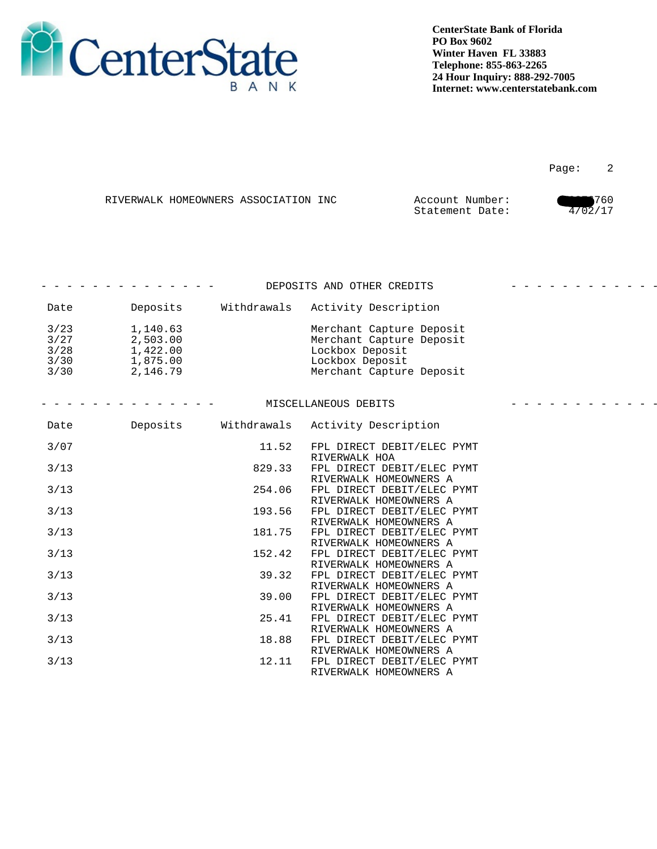

en de la provincia de la provincia de la provincia de la provincia de la provincia de la provincia de la provi

|  | RIVERWALK HOMEOWNERS ASSOCIATION INC | Account Number: | 1760   |
|--|--------------------------------------|-----------------|--------|
|  |                                      | Statement Date: | /02/17 |

|                                        |                                                          |             | DEPOSITS AND OTHER CREDITS                                                                                             | <u> 2020 - 2020 - 2020 - 20</u> |
|----------------------------------------|----------------------------------------------------------|-------------|------------------------------------------------------------------------------------------------------------------------|---------------------------------|
| Date                                   | Deposits                                                 | Withdrawals | Activity Description                                                                                                   |                                 |
| 3/23<br>3/27<br>$3/28$<br>3/30<br>3/30 | 1,140.63<br>2,503.00<br>1,422.00<br>1,875.00<br>2,146.79 |             | Merchant Capture Deposit<br>Merchant Capture Deposit<br>Lockbox Deposit<br>Lockbox Deposit<br>Merchant Capture Deposit |                                 |
|                                        |                                                          |             | MISCELLANEOUS DEBITS                                                                                                   |                                 |
| Date                                   | Deposits                                                 | Withdrawals | Activity Description                                                                                                   |                                 |
| 3/07                                   |                                                          | 11.52       | FPL DIRECT DEBIT/ELEC PYMT<br>RIVERWALK HOA                                                                            |                                 |
| $3/13$                                 |                                                          | 829.33      | FPL DIRECT DEBIT/ELEC PYMT<br>RIVERWALK HOMEOWNERS A                                                                   |                                 |
| $3/13$                                 |                                                          | 254.06      | FPL DIRECT DEBIT/ELEC PYMT<br>RIVERWALK HOMEOWNERS A                                                                   |                                 |
| 3/13                                   |                                                          | 193.56      | FPL DIRECT DEBIT/ELEC PYMT<br>RIVERWALK HOMEOWNERS A                                                                   |                                 |
| $3/13$                                 |                                                          | 181.75      | FPL DIRECT DEBIT/ELEC PYMT<br>RIVERWALK HOMEOWNERS A                                                                   |                                 |
| 3/13                                   |                                                          | 152.42      | FPL DIRECT DEBIT/ELEC PYMT<br>RIVERWALK HOMEOWNERS A                                                                   |                                 |
| $3/13$                                 |                                                          | 39.32       | FPL DIRECT DEBIT/ELEC PYMT<br>RIVERWALK HOMEOWNERS A                                                                   |                                 |
| $3/13$                                 |                                                          | 39.00       | FPL DIRECT DEBIT/ELEC PYMT<br>RIVERWALK HOMEOWNERS A                                                                   |                                 |
| $3/13$                                 |                                                          | 25.41       | FPL DIRECT DEBIT/ELEC PYMT<br>RIVERWALK HOMEOWNERS A                                                                   |                                 |
| $3/13$                                 |                                                          | 18.88       | FPL DIRECT DEBIT/ELEC PYMT<br>RIVERWALK HOMEOWNERS A                                                                   |                                 |
| 3/13                                   |                                                          | 12.11       | FPL DIRECT DEBIT/ELEC PYMT<br>RIVERWALK HOMEOWNERS A                                                                   |                                 |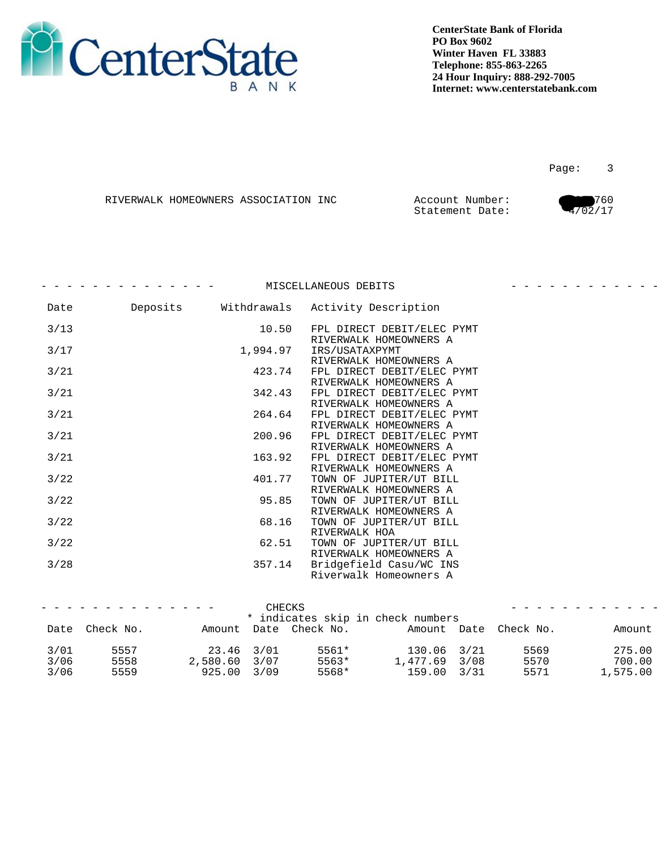

Page: 3

|  | RIVERWALK HOMEOWNERS ASSOCIATION INC | Account<br>Number | 760 |
|--|--------------------------------------|-------------------|-----|
|  |                                      | Statement Date:   | ו ז |

|      |          | MISCELLANEOUS DEBITS                                 |  |
|------|----------|------------------------------------------------------|--|
| Date |          | Deposits Withdrawals Activity Description            |  |
| 3/13 | 10.50    | FPL DIRECT DEBIT/ELEC PYMT<br>RIVERWALK HOMEOWNERS A |  |
| 3/17 | 1,994.97 | IRS/USATAXPYMT<br>RIVERWALK HOMEOWNERS A             |  |
| 3/21 | 423.74   | FPL DIRECT DEBIT/ELEC PYMT<br>RIVERWALK HOMEOWNERS A |  |
| 3/21 | 342.43   | FPL DIRECT DEBIT/ELEC PYMT<br>RIVERWALK HOMEOWNERS A |  |
| 3/21 | 264.64   | FPL DIRECT DEBIT/ELEC PYMT<br>RIVERWALK HOMEOWNERS A |  |
| 3/21 | 200.96   | FPL DIRECT DEBIT/ELEC PYMT<br>RIVERWALK HOMEOWNERS A |  |
| 3/21 | 163.92   | FPL DIRECT DEBIT/ELEC PYMT<br>RIVERWALK HOMEOWNERS A |  |
| 3/22 | 401.77   | TOWN OF JUPITER/UT BILL<br>RIVERWALK HOMEOWNERS A    |  |
| 3/22 | 95.85    | TOWN OF JUPITER/UT BILL<br>RIVERWALK HOMEOWNERS A    |  |
| 3/22 | 68.16    | TOWN OF JUPITER/UT BILL<br>RIVERWALK HOA             |  |
| 3/22 | 62.51    | TOWN OF JUPITER/UT BILL<br>RIVERWALK HOMEOWNERS A    |  |
| 3/28 | 357.14   | Bridgefield Casu/WC INS<br>Riverwalk Homeowners A    |  |
|      |          |                                                      |  |

|      | _ _ _ _ _ _ _ _ _ _ _ _ _ _ |                | CHECKS                          |               |                       | . <b>.</b> |
|------|-----------------------------|----------------|---------------------------------|---------------|-----------------------|------------|
|      |                             |                | indicates skip in check numbers |               |                       |            |
|      | Date Check No.              |                | Amount Date Check No.           |               | Amount Date Check No. | Amount     |
|      |                             |                |                                 |               |                       |            |
| 3/01 | 5557                        | $23.46$ $3/01$ | 5561*                           | 130.06 3/21   | 5569                  | 275.00     |
| 3/06 | 5558                        | ,580.60 3/07   | 5563*                           | 1,477.69 3/08 | 5570                  | 700.00     |
| 3/06 | 5559                        | 925.00 3/09    | 5568*                           | 159.00 3/31   | 5571                  | .7575.00   |